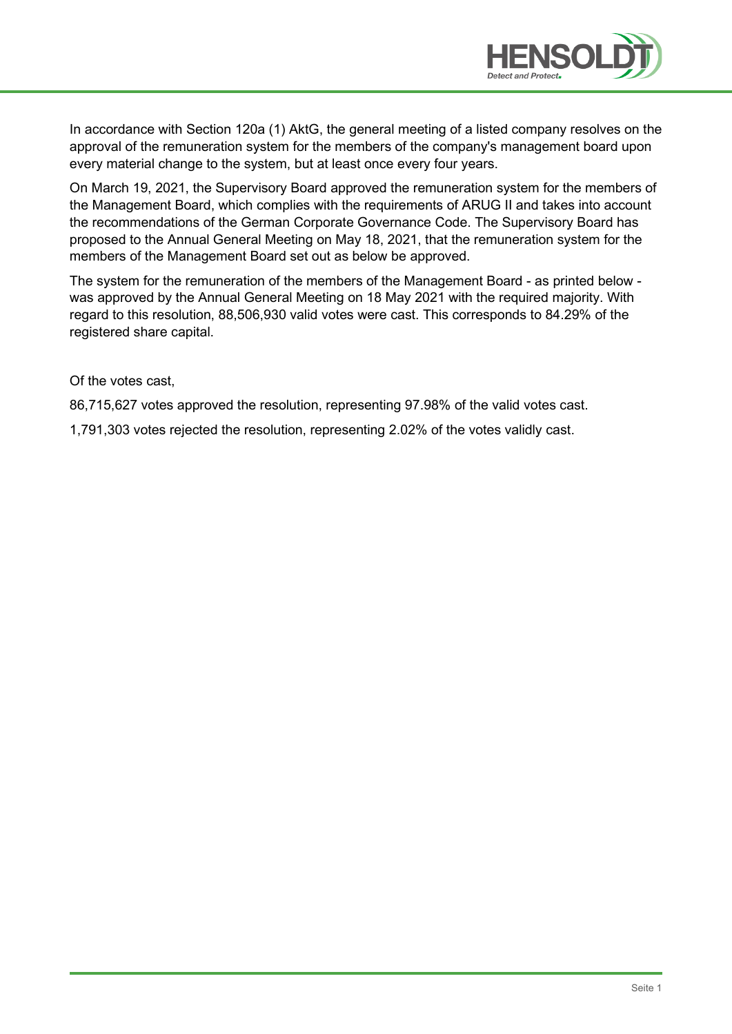

In accordance with Section 120a (1) AktG, the general meeting of a listed company resolves on the approval of the remuneration system for the members of the company's management board upon every material change to the system, but at least once every four years.

On March 19, 2021, the Supervisory Board approved the remuneration system for the members of the Management Board, which complies with the requirements of ARUG II and takes into account the recommendations of the German Corporate Governance Code. The Supervisory Board has proposed to the Annual General Meeting on May 18, 2021, that the remuneration system for the members of the Management Board set out as below be approved.

The system for the remuneration of the members of the Management Board - as printed below was approved by the Annual General Meeting on 18 May 2021 with the required majority. With regard to this resolution, 88,506,930 valid votes were cast. This corresponds to 84.29% of the registered share capital.

Of the votes cast,

86,715,627 votes approved the resolution, representing 97.98% of the valid votes cast.

1,791,303 votes rejected the resolution, representing 2.02% of the votes validly cast.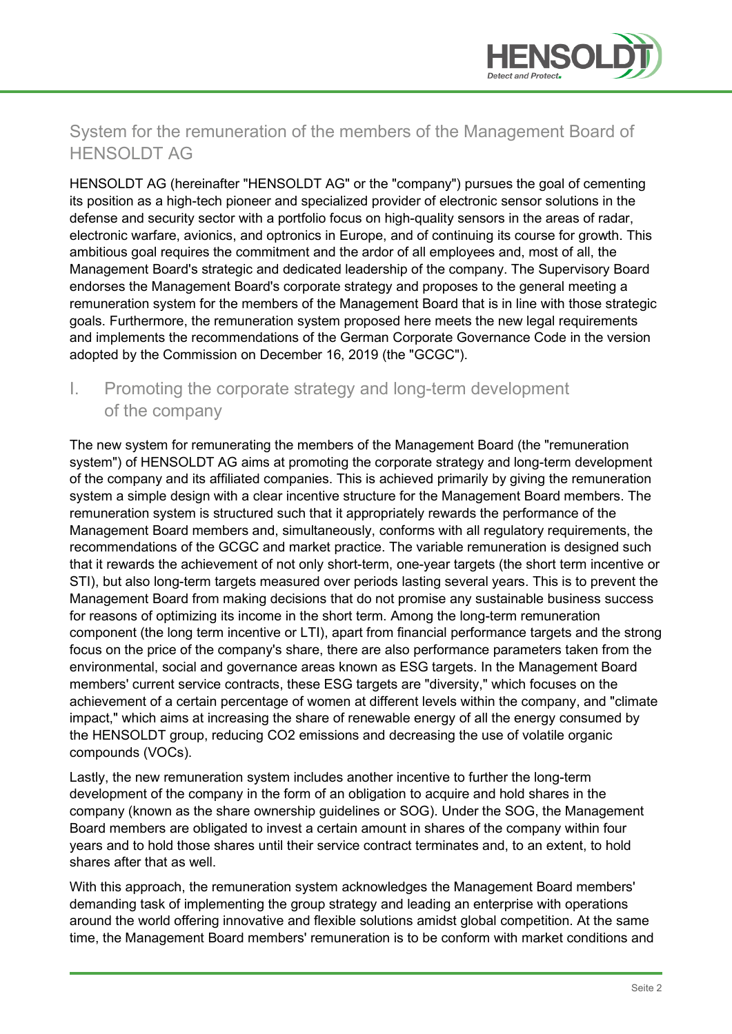

# System for the remuneration of the members of the Management Board of HENSOLDT AG

HENSOLDT AG (hereinafter "HENSOLDT AG" or the "company") pursues the goal of cementing its position as a high-tech pioneer and specialized provider of electronic sensor solutions in the defense and security sector with a portfolio focus on high-quality sensors in the areas of radar, electronic warfare, avionics, and optronics in Europe, and of continuing its course for growth. This ambitious goal requires the commitment and the ardor of all employees and, most of all, the Management Board's strategic and dedicated leadership of the company. The Supervisory Board endorses the Management Board's corporate strategy and proposes to the general meeting a remuneration system for the members of the Management Board that is in line with those strategic goals. Furthermore, the remuneration system proposed here meets the new legal requirements and implements the recommendations of the German Corporate Governance Code in the version adopted by the Commission on December 16, 2019 (the "GCGC").

#### I. Promoting the corporate strategy and long-term development of the company

The new system for remunerating the members of the Management Board (the "remuneration system") of HENSOLDT AG aims at promoting the corporate strategy and long-term development of the company and its affiliated companies. This is achieved primarily by giving the remuneration system a simple design with a clear incentive structure for the Management Board members. The remuneration system is structured such that it appropriately rewards the performance of the Management Board members and, simultaneously, conforms with all regulatory requirements, the recommendations of the GCGC and market practice. The variable remuneration is designed such that it rewards the achievement of not only short-term, one-year targets (the short term incentive or STI), but also long-term targets measured over periods lasting several years. This is to prevent the Management Board from making decisions that do not promise any sustainable business success for reasons of optimizing its income in the short term. Among the long-term remuneration component (the long term incentive or LTI), apart from financial performance targets and the strong focus on the price of the company's share, there are also performance parameters taken from the environmental, social and governance areas known as ESG targets. In the Management Board members' current service contracts, these ESG targets are "diversity," which focuses on the achievement of a certain percentage of women at different levels within the company, and "climate impact," which aims at increasing the share of renewable energy of all the energy consumed by the HENSOLDT group, reducing CO2 emissions and decreasing the use of volatile organic compounds (VOCs).

Lastly, the new remuneration system includes another incentive to further the long-term development of the company in the form of an obligation to acquire and hold shares in the company (known as the share ownership guidelines or SOG). Under the SOG, the Management Board members are obligated to invest a certain amount in shares of the company within four years and to hold those shares until their service contract terminates and, to an extent, to hold shares after that as well.

With this approach, the remuneration system acknowledges the Management Board members' demanding task of implementing the group strategy and leading an enterprise with operations around the world offering innovative and flexible solutions amidst global competition. At the same time, the Management Board members' remuneration is to be conform with market conditions and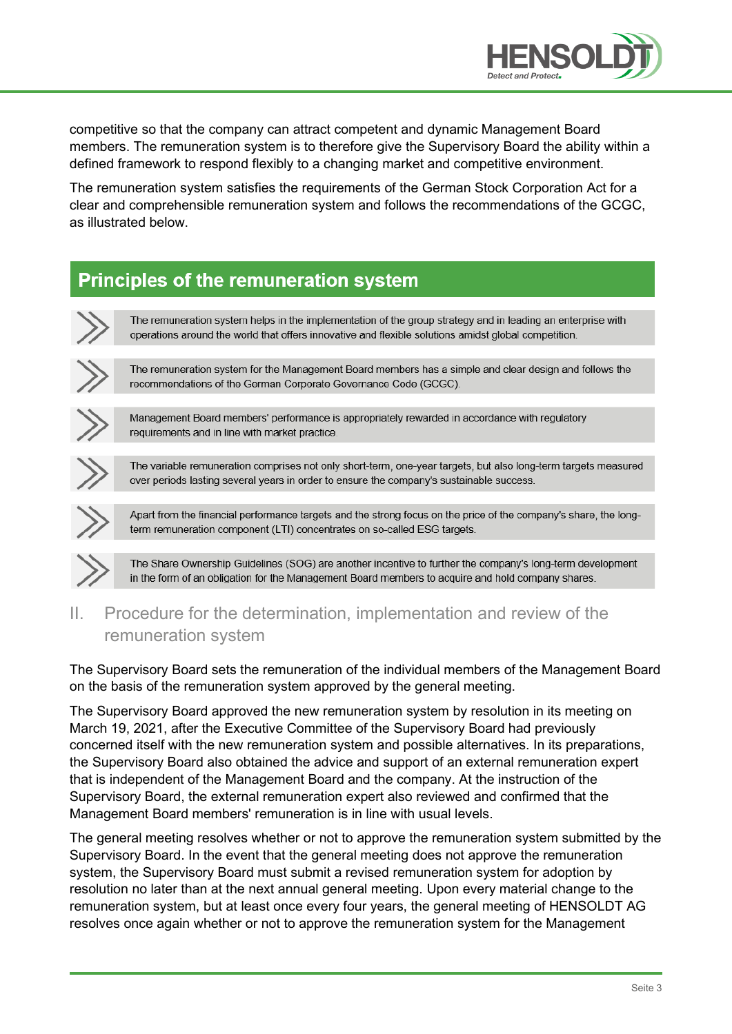

competitive so that the company can attract competent and dynamic Management Board members. The remuneration system is to therefore give the Supervisory Board the ability within a defined framework to respond flexibly to a changing market and competitive environment.

The remuneration system satisfies the requirements of the German Stock Corporation Act for a clear and comprehensible remuneration system and follows the recommendations of the GCGC, as illustrated below.

# **Principles of the remuneration system**

| The remuneration system helps in the implementation of the group strategy and in leading an enterprise with<br>operations around the world that offers innovative and flexible solutions amidst global competition. |
|---------------------------------------------------------------------------------------------------------------------------------------------------------------------------------------------------------------------|
|                                                                                                                                                                                                                     |
| The remuneration system for the Management Board members has a simple and clear design and follows the<br>recommendations of the German Corporate Governance Code (GCGC).                                           |
|                                                                                                                                                                                                                     |
| Management Board members' performance is appropriately rewarded in accordance with regulatory<br>requirements and in line with market practice.                                                                     |
|                                                                                                                                                                                                                     |
| The variable remuneration comprises not only short-term, one-year targets, but also long-term targets measured<br>over periods lasting several years in order to ensure the company's sustainable success.          |
|                                                                                                                                                                                                                     |
|                                                                                                                                                                                                                     |

Apart from the financial performance targets and the strong focus on the price of the company's share, the longterm remuneration component (LTI) concentrates on so-called ESG targets.



The Share Ownership Guidelines (SOG) are another incentive to further the company's long-term development in the form of an obligation for the Management Board members to acquire and hold company shares.

II. Procedure for the determination, implementation and review of the remuneration system

The Supervisory Board sets the remuneration of the individual members of the Management Board on the basis of the remuneration system approved by the general meeting.

The Supervisory Board approved the new remuneration system by resolution in its meeting on March 19, 2021, after the Executive Committee of the Supervisory Board had previously concerned itself with the new remuneration system and possible alternatives. In its preparations, the Supervisory Board also obtained the advice and support of an external remuneration expert that is independent of the Management Board and the company. At the instruction of the Supervisory Board, the external remuneration expert also reviewed and confirmed that the Management Board members' remuneration is in line with usual levels.

The general meeting resolves whether or not to approve the remuneration system submitted by the Supervisory Board. In the event that the general meeting does not approve the remuneration system, the Supervisory Board must submit a revised remuneration system for adoption by resolution no later than at the next annual general meeting. Upon every material change to the remuneration system, but at least once every four years, the general meeting of HENSOLDT AG resolves once again whether or not to approve the remuneration system for the Management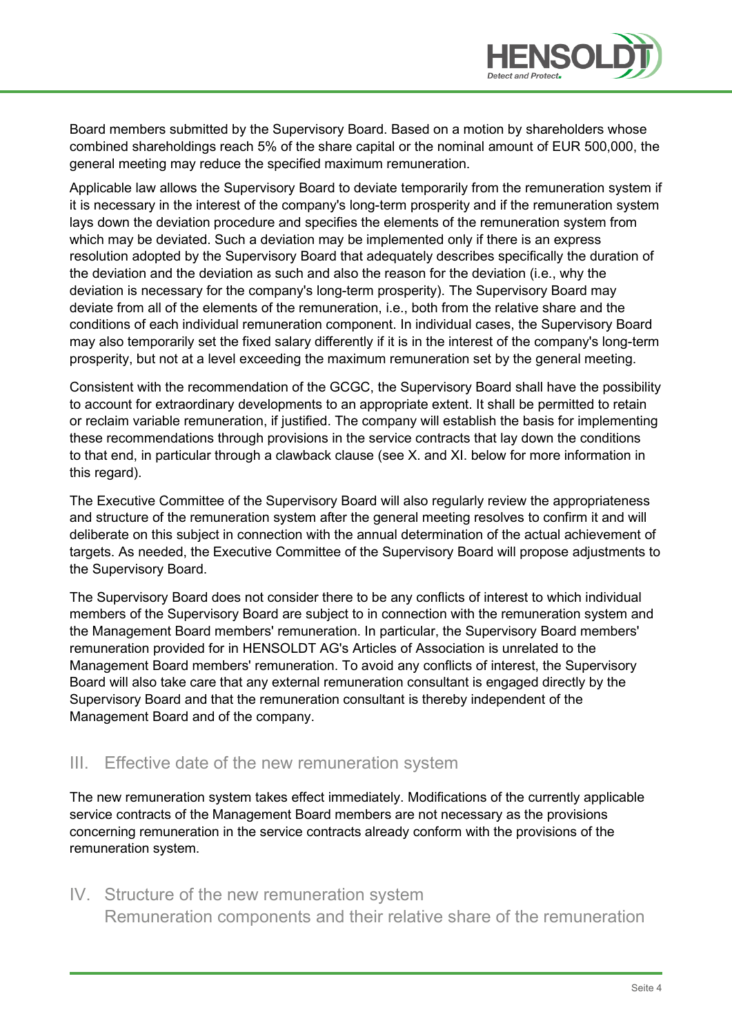

Board members submitted by the Supervisory Board. Based on a motion by shareholders whose combined shareholdings reach 5% of the share capital or the nominal amount of EUR 500,000, the general meeting may reduce the specified maximum remuneration.

Applicable law allows the Supervisory Board to deviate temporarily from the remuneration system if it is necessary in the interest of the company's long-term prosperity and if the remuneration system lays down the deviation procedure and specifies the elements of the remuneration system from which may be deviated. Such a deviation may be implemented only if there is an express resolution adopted by the Supervisory Board that adequately describes specifically the duration of the deviation and the deviation as such and also the reason for the deviation (i.e., why the deviation is necessary for the company's long-term prosperity). The Supervisory Board may deviate from all of the elements of the remuneration, i.e., both from the relative share and the conditions of each individual remuneration component. In individual cases, the Supervisory Board may also temporarily set the fixed salary differently if it is in the interest of the company's long-term prosperity, but not at a level exceeding the maximum remuneration set by the general meeting.

Consistent with the recommendation of the GCGC, the Supervisory Board shall have the possibility to account for extraordinary developments to an appropriate extent. It shall be permitted to retain or reclaim variable remuneration, if justified. The company will establish the basis for implementing these recommendations through provisions in the service contracts that lay down the conditions to that end, in particular through a clawback clause (see X. and XI. below for more information in this regard).

The Executive Committee of the Supervisory Board will also regularly review the appropriateness and structure of the remuneration system after the general meeting resolves to confirm it and will deliberate on this subject in connection with the annual determination of the actual achievement of targets. As needed, the Executive Committee of the Supervisory Board will propose adjustments to the Supervisory Board.

The Supervisory Board does not consider there to be any conflicts of interest to which individual members of the Supervisory Board are subject to in connection with the remuneration system and the Management Board members' remuneration. In particular, the Supervisory Board members' remuneration provided for in HENSOLDT AG's Articles of Association is unrelated to the Management Board members' remuneration. To avoid any conflicts of interest, the Supervisory Board will also take care that any external remuneration consultant is engaged directly by the Supervisory Board and that the remuneration consultant is thereby independent of the Management Board and of the company.

#### III. Effective date of the new remuneration system

The new remuneration system takes effect immediately. Modifications of the currently applicable service contracts of the Management Board members are not necessary as the provisions concerning remuneration in the service contracts already conform with the provisions of the remuneration system.

#### IV. Structure of the new remuneration system

Remuneration components and their relative share of the remuneration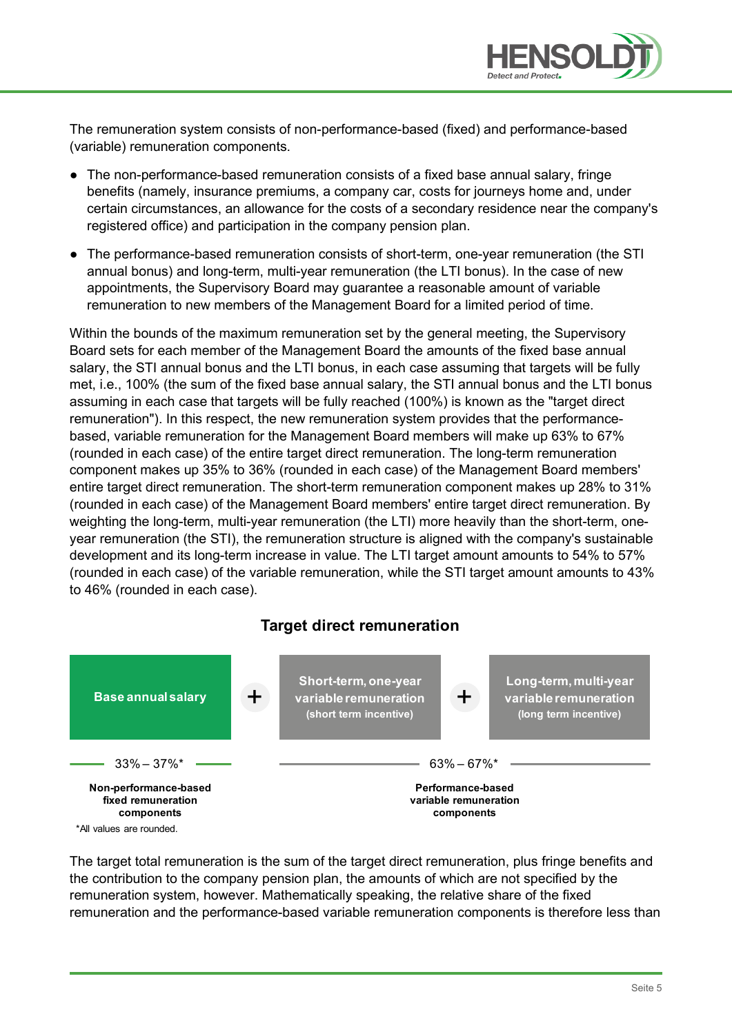

The remuneration system consists of non-performance-based (fixed) and performance-based (variable) remuneration components.

- The non-performance-based remuneration consists of a fixed base annual salary, fringe benefits (namely, insurance premiums, a company car, costs for journeys home and, under certain circumstances, an allowance for the costs of a secondary residence near the company's registered office) and participation in the company pension plan.
- The performance-based remuneration consists of short-term, one-year remuneration (the STI annual bonus) and long-term, multi-year remuneration (the LTI bonus). In the case of new appointments, the Supervisory Board may guarantee a reasonable amount of variable remuneration to new members of the Management Board for a limited period of time.

Within the bounds of the maximum remuneration set by the general meeting, the Supervisory Board sets for each member of the Management Board the amounts of the fixed base annual salary, the STI annual bonus and the LTI bonus, in each case assuming that targets will be fully met, i.e., 100% (the sum of the fixed base annual salary, the STI annual bonus and the LTI bonus assuming in each case that targets will be fully reached (100%) is known as the "target direct remuneration"). In this respect, the new remuneration system provides that the performancebased, variable remuneration for the Management Board members will make up 63% to 67% (rounded in each case) of the entire target direct remuneration. The long-term remuneration component makes up 35% to 36% (rounded in each case) of the Management Board members' entire target direct remuneration. The short-term remuneration component makes up 28% to 31% (rounded in each case) of the Management Board members' entire target direct remuneration. By weighting the long-term, multi-year remuneration (the LTI) more heavily than the short-term, oneyear remuneration (the STI), the remuneration structure is aligned with the company's sustainable development and its long-term increase in value. The LTI target amount amounts to 54% to 57% (rounded in each case) of the variable remuneration, while the STI target amount amounts to 43% to 46% (rounded in each case).

#### **Target direct remuneration**



The target total remuneration is the sum of the target direct remuneration, plus fringe benefits and the contribution to the company pension plan, the amounts of which are not specified by the remuneration system, however. Mathematically speaking, the relative share of the fixed remuneration and the performance-based variable remuneration components is therefore less than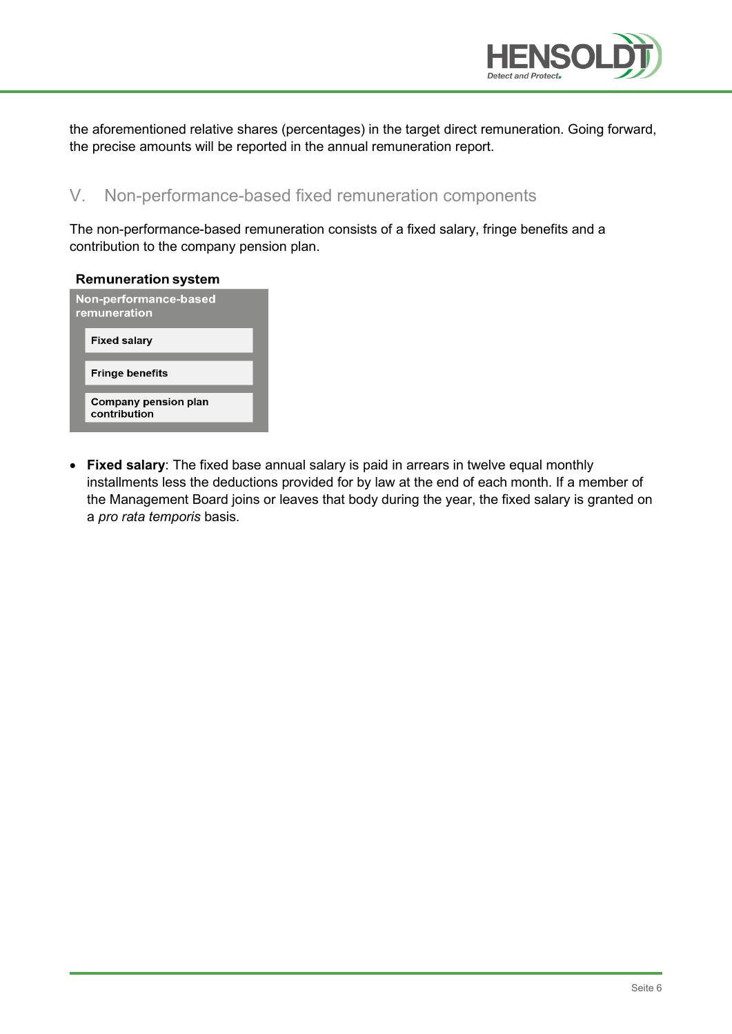

the aforementioned relative shares (percentages) in the target direct remuneration. Going forward, the precise amounts will be reported in the annual remuneration report.

### V. Non-performance-based fixed remuneration components

The non-performance-based remuneration consists of a fixed salary, fringe benefits and a contribution to the company pension plan.

| <b>Remuneration system</b>            |                                             |  |  |  |
|---------------------------------------|---------------------------------------------|--|--|--|
| Non-performance-based<br>remuneration |                                             |  |  |  |
|                                       | <b>Fixed salary</b>                         |  |  |  |
|                                       | <b>Fringe benefits</b>                      |  |  |  |
|                                       | <b>Company pension plan</b><br>contribution |  |  |  |

• **Fixed salary**: The fixed base annual salary is paid in arrears in twelve equal monthly installments less the deductions provided for by law at the end of each month. If a member of the Management Board joins or leaves that body during the year, the fixed salary is granted on a *pro rata temporis* basis.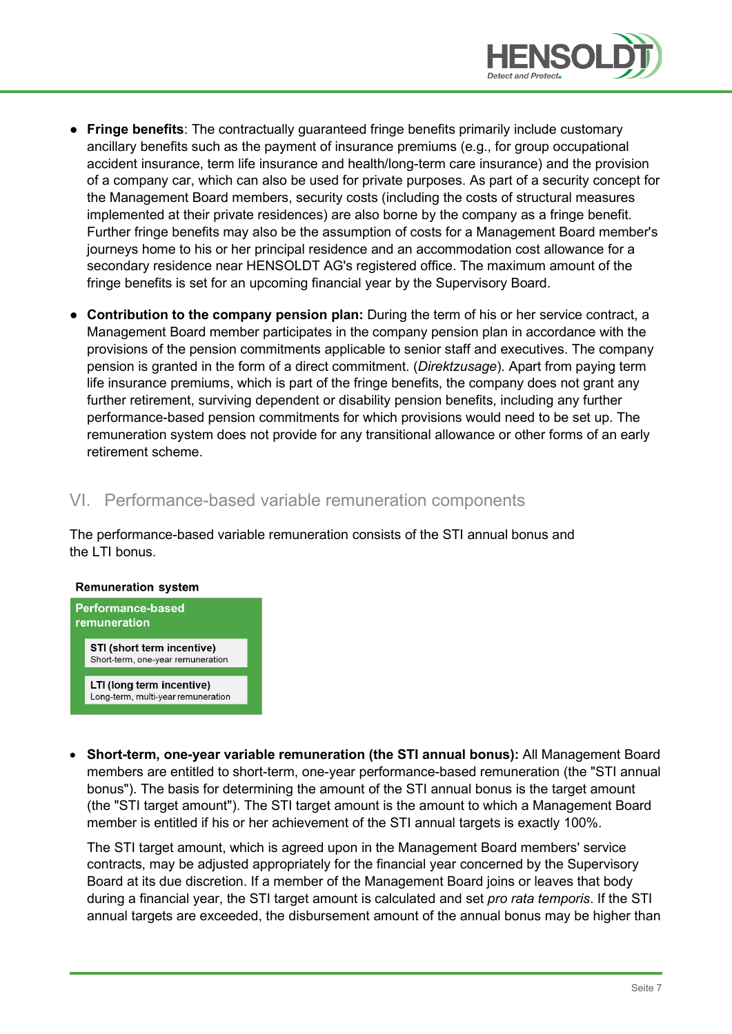

- **Fringe benefits**: The contractually guaranteed fringe benefits primarily include customary ancillary benefits such as the payment of insurance premiums (e.g., for group occupational accident insurance, term life insurance and health/long-term care insurance) and the provision of a company car, which can also be used for private purposes. As part of a security concept for the Management Board members, security costs (including the costs of structural measures implemented at their private residences) are also borne by the company as a fringe benefit. Further fringe benefits may also be the assumption of costs for a Management Board member's journeys home to his or her principal residence and an accommodation cost allowance for a secondary residence near HENSOLDT AG's registered office. The maximum amount of the fringe benefits is set for an upcoming financial year by the Supervisory Board.
- **Contribution to the company pension plan:** During the term of his or her service contract, a Management Board member participates in the company pension plan in accordance with the provisions of the pension commitments applicable to senior staff and executives. The company pension is granted in the form of a direct commitment. (*Direktzusage*). Apart from paying term life insurance premiums, which is part of the fringe benefits, the company does not grant any further retirement, surviving dependent or disability pension benefits, including any further performance-based pension commitments for which provisions would need to be set up. The remuneration system does not provide for any transitional allowance or other forms of an early retirement scheme.

#### VI. Performance-based variable remuneration components

The performance-based variable remuneration consists of the STI annual bonus and the LTI bonus.

#### **Remuneration system**



• **Short-term, one-year variable remuneration (the STI annual bonus):** All Management Board members are entitled to short-term, one-year performance-based remuneration (the "STI annual bonus"). The basis for determining the amount of the STI annual bonus is the target amount (the "STI target amount"). The STI target amount is the amount to which a Management Board member is entitled if his or her achievement of the STI annual targets is exactly 100%.

The STI target amount, which is agreed upon in the Management Board members' service contracts, may be adjusted appropriately for the financial year concerned by the Supervisory Board at its due discretion. If a member of the Management Board joins or leaves that body during a financial year, the STI target amount is calculated and set *pro rata temporis*. If the STI annual targets are exceeded, the disbursement amount of the annual bonus may be higher than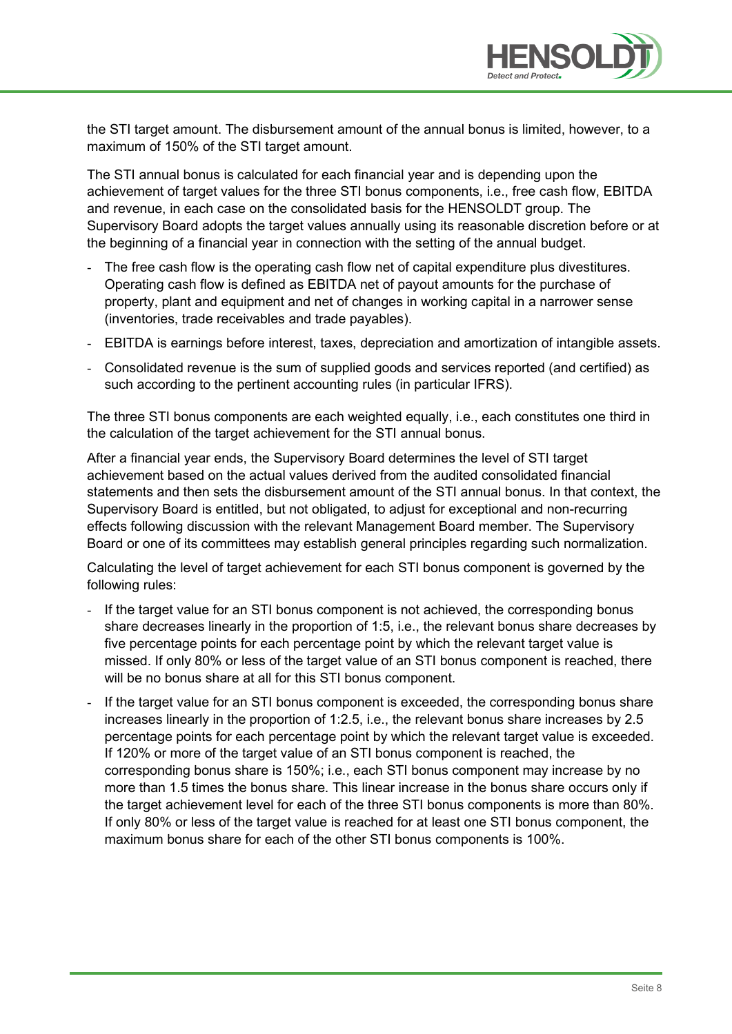

the STI target amount. The disbursement amount of the annual bonus is limited, however, to a maximum of 150% of the STI target amount.

The STI annual bonus is calculated for each financial year and is depending upon the achievement of target values for the three STI bonus components, i.e., free cash flow, EBITDA and revenue, in each case on the consolidated basis for the HENSOLDT group. The Supervisory Board adopts the target values annually using its reasonable discretion before or at the beginning of a financial year in connection with the setting of the annual budget.

- The free cash flow is the operating cash flow net of capital expenditure plus divestitures. Operating cash flow is defined as EBITDA net of payout amounts for the purchase of property, plant and equipment and net of changes in working capital in a narrower sense (inventories, trade receivables and trade payables).
- EBITDA is earnings before interest, taxes, depreciation and amortization of intangible assets.
- Consolidated revenue is the sum of supplied goods and services reported (and certified) as such according to the pertinent accounting rules (in particular IFRS).

The three STI bonus components are each weighted equally, i.e., each constitutes one third in the calculation of the target achievement for the STI annual bonus.

After a financial year ends, the Supervisory Board determines the level of STI target achievement based on the actual values derived from the audited consolidated financial statements and then sets the disbursement amount of the STI annual bonus. In that context, the Supervisory Board is entitled, but not obligated, to adjust for exceptional and non-recurring effects following discussion with the relevant Management Board member. The Supervisory Board or one of its committees may establish general principles regarding such normalization.

Calculating the level of target achievement for each STI bonus component is governed by the following rules:

- If the target value for an STI bonus component is not achieved, the corresponding bonus share decreases linearly in the proportion of 1:5, i.e., the relevant bonus share decreases by five percentage points for each percentage point by which the relevant target value is missed. If only 80% or less of the target value of an STI bonus component is reached, there will be no bonus share at all for this STI bonus component.
- If the target value for an STI bonus component is exceeded, the corresponding bonus share increases linearly in the proportion of 1:2.5, i.e., the relevant bonus share increases by 2.5 percentage points for each percentage point by which the relevant target value is exceeded. If 120% or more of the target value of an STI bonus component is reached, the corresponding bonus share is 150%; i.e., each STI bonus component may increase by no more than 1.5 times the bonus share. This linear increase in the bonus share occurs only if the target achievement level for each of the three STI bonus components is more than 80%. If only 80% or less of the target value is reached for at least one STI bonus component, the maximum bonus share for each of the other STI bonus components is 100%.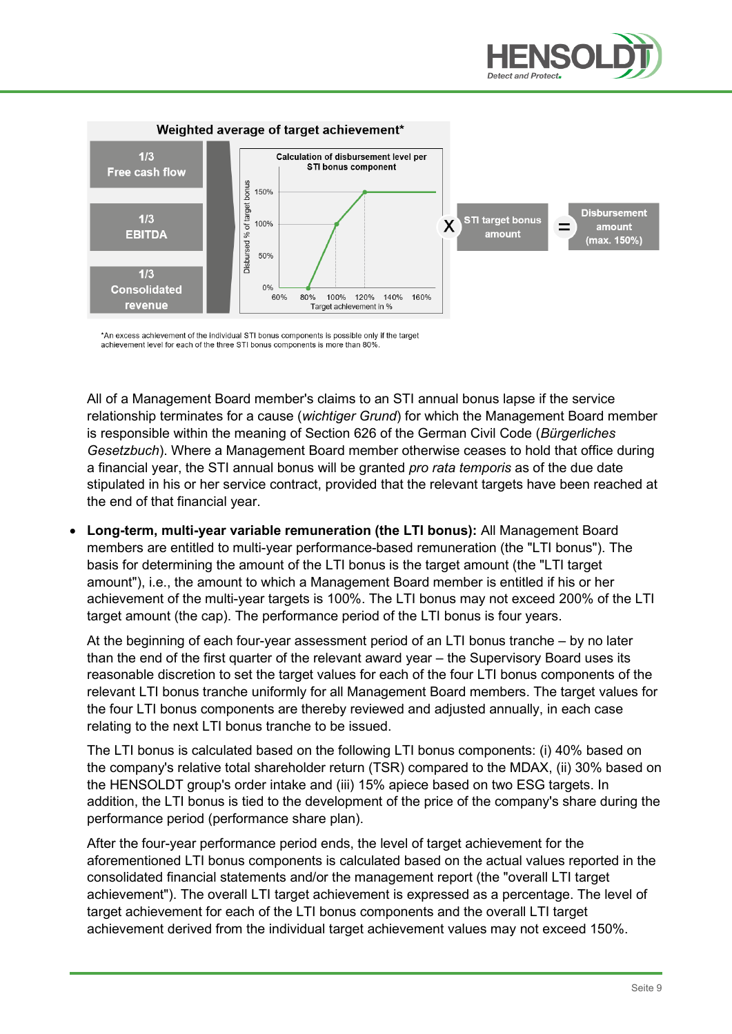



\*An excess achievement of the individual STI bonus components is possible only if the target achievement level for each of the three STI bonus components is more than 80%

All of a Management Board member's claims to an STI annual bonus lapse if the service relationship terminates for a cause (*wichtiger Grund*) for which the Management Board member is responsible within the meaning of Section 626 of the German Civil Code (*Bürgerliches Gesetzbuch*). Where a Management Board member otherwise ceases to hold that office during a financial year, the STI annual bonus will be granted *pro rata temporis* as of the due date stipulated in his or her service contract, provided that the relevant targets have been reached at the end of that financial year.

• **Long-term, multi-year variable remuneration (the LTI bonus):** All Management Board members are entitled to multi-year performance-based remuneration (the "LTI bonus"). The basis for determining the amount of the LTI bonus is the target amount (the "LTI target amount"), i.e., the amount to which a Management Board member is entitled if his or her achievement of the multi-year targets is 100%. The LTI bonus may not exceed 200% of the LTI target amount (the cap). The performance period of the LTI bonus is four years.

At the beginning of each four-year assessment period of an LTI bonus tranche – by no later than the end of the first quarter of the relevant award year – the Supervisory Board uses its reasonable discretion to set the target values for each of the four LTI bonus components of the relevant LTI bonus tranche uniformly for all Management Board members. The target values for the four LTI bonus components are thereby reviewed and adjusted annually, in each case relating to the next LTI bonus tranche to be issued.

The LTI bonus is calculated based on the following LTI bonus components: (i) 40% based on the company's relative total shareholder return (TSR) compared to the MDAX, (ii) 30% based on the HENSOLDT group's order intake and (iii) 15% apiece based on two ESG targets. In addition, the LTI bonus is tied to the development of the price of the company's share during the performance period (performance share plan).

After the four-year performance period ends, the level of target achievement for the aforementioned LTI bonus components is calculated based on the actual values reported in the consolidated financial statements and/or the management report (the "overall LTI target achievement"). The overall LTI target achievement is expressed as a percentage. The level of target achievement for each of the LTI bonus components and the overall LTI target achievement derived from the individual target achievement values may not exceed 150%.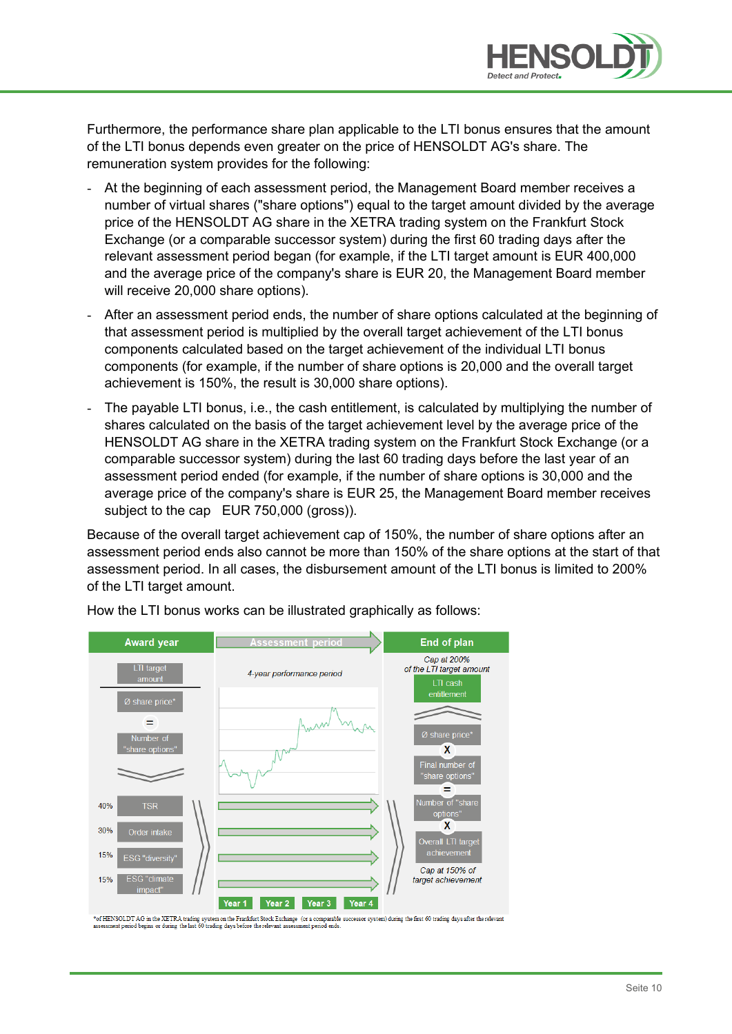

Furthermore, the performance share plan applicable to the LTI bonus ensures that the amount of the LTI bonus depends even greater on the price of HENSOLDT AG's share. The remuneration system provides for the following:

- At the beginning of each assessment period, the Management Board member receives a number of virtual shares ("share options") equal to the target amount divided by the average price of the HENSOLDT AG share in the XETRA trading system on the Frankfurt Stock Exchange (or a comparable successor system) during the first 60 trading days after the relevant assessment period began (for example, if the LTI target amount is EUR 400,000 and the average price of the company's share is EUR 20, the Management Board member will receive 20,000 share options).
- After an assessment period ends, the number of share options calculated at the beginning of that assessment period is multiplied by the overall target achievement of the LTI bonus components calculated based on the target achievement of the individual LTI bonus components (for example, if the number of share options is 20,000 and the overall target achievement is 150%, the result is 30,000 share options).
- The payable LTI bonus, i.e., the cash entitlement, is calculated by multiplying the number of shares calculated on the basis of the target achievement level by the average price of the HENSOLDT AG share in the XETRA trading system on the Frankfurt Stock Exchange (or a comparable successor system) during the last 60 trading days before the last year of an assessment period ended (for example, if the number of share options is 30,000 and the average price of the company's share is EUR 25, the Management Board member receives subject to the cap EUR 750,000 (gross)).

Because of the overall target achievement cap of 150%, the number of share options after an assessment period ends also cannot be more than 150% of the share options at the start of that assessment period. In all cases, the disbursement amount of the LTI bonus is limited to 200% of the LTI target amount.



How the LTI bonus works can be illustrated graphically as follows:

\*of HENSOLDT AG in the XETRA trading system on the Frankfurt Stock Exchange (or a comparable successor system) during the first 60 trading days after the relevant assessment period begins or during the last 60 trading days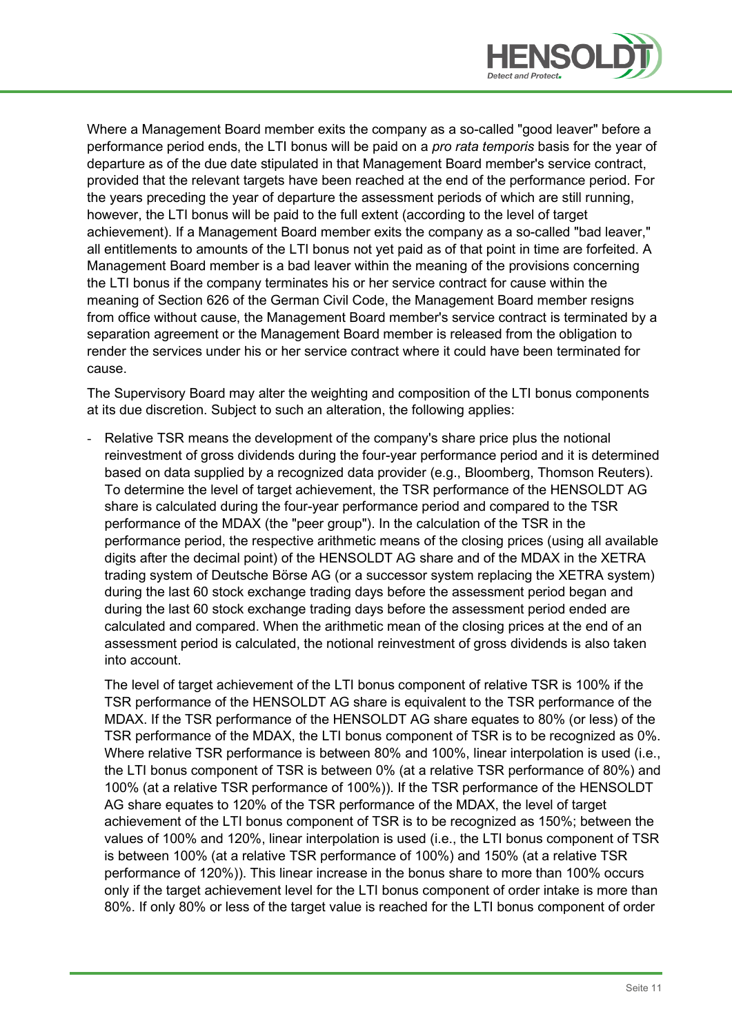

Where a Management Board member exits the company as a so-called "good leaver" before a performance period ends, the LTI bonus will be paid on a *pro rata temporis* basis for the year of departure as of the due date stipulated in that Management Board member's service contract, provided that the relevant targets have been reached at the end of the performance period. For the years preceding the year of departure the assessment periods of which are still running, however, the LTI bonus will be paid to the full extent (according to the level of target achievement). If a Management Board member exits the company as a so-called "bad leaver," all entitlements to amounts of the LTI bonus not yet paid as of that point in time are forfeited. A Management Board member is a bad leaver within the meaning of the provisions concerning the LTI bonus if the company terminates his or her service contract for cause within the meaning of Section 626 of the German Civil Code, the Management Board member resigns from office without cause, the Management Board member's service contract is terminated by a separation agreement or the Management Board member is released from the obligation to render the services under his or her service contract where it could have been terminated for cause.

The Supervisory Board may alter the weighting and composition of the LTI bonus components at its due discretion. Subject to such an alteration, the following applies:

Relative TSR means the development of the company's share price plus the notional reinvestment of gross dividends during the four-year performance period and it is determined based on data supplied by a recognized data provider (e.g., Bloomberg, Thomson Reuters). To determine the level of target achievement, the TSR performance of the HENSOLDT AG share is calculated during the four-year performance period and compared to the TSR performance of the MDAX (the "peer group"). In the calculation of the TSR in the performance period, the respective arithmetic means of the closing prices (using all available digits after the decimal point) of the HENSOLDT AG share and of the MDAX in the XETRA trading system of Deutsche Börse AG (or a successor system replacing the XETRA system) during the last 60 stock exchange trading days before the assessment period began and during the last 60 stock exchange trading days before the assessment period ended are calculated and compared. When the arithmetic mean of the closing prices at the end of an assessment period is calculated, the notional reinvestment of gross dividends is also taken into account.

The level of target achievement of the LTI bonus component of relative TSR is 100% if the TSR performance of the HENSOLDT AG share is equivalent to the TSR performance of the MDAX. If the TSR performance of the HENSOLDT AG share equates to 80% (or less) of the TSR performance of the MDAX, the LTI bonus component of TSR is to be recognized as 0%. Where relative TSR performance is between 80% and 100%, linear interpolation is used (i.e., the LTI bonus component of TSR is between 0% (at a relative TSR performance of 80%) and 100% (at a relative TSR performance of 100%)). If the TSR performance of the HENSOLDT AG share equates to 120% of the TSR performance of the MDAX, the level of target achievement of the LTI bonus component of TSR is to be recognized as 150%; between the values of 100% and 120%, linear interpolation is used (i.e., the LTI bonus component of TSR is between 100% (at a relative TSR performance of 100%) and 150% (at a relative TSR performance of 120%)). This linear increase in the bonus share to more than 100% occurs only if the target achievement level for the LTI bonus component of order intake is more than 80%. If only 80% or less of the target value is reached for the LTI bonus component of order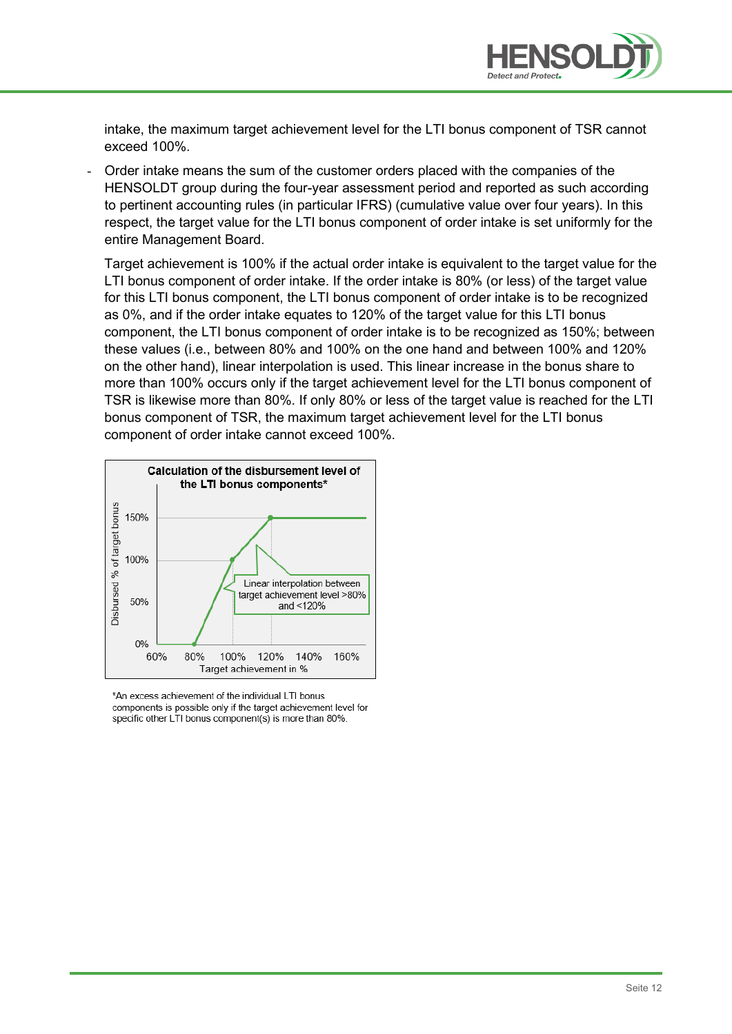

intake, the maximum target achievement level for the LTI bonus component of TSR cannot exceed 100%.

- Order intake means the sum of the customer orders placed with the companies of the HENSOLDT group during the four-year assessment period and reported as such according to pertinent accounting rules (in particular IFRS) (cumulative value over four years). In this respect, the target value for the LTI bonus component of order intake is set uniformly for the entire Management Board.

Target achievement is 100% if the actual order intake is equivalent to the target value for the LTI bonus component of order intake. If the order intake is 80% (or less) of the target value for this LTI bonus component, the LTI bonus component of order intake is to be recognized as 0%, and if the order intake equates to 120% of the target value for this LTI bonus component, the LTI bonus component of order intake is to be recognized as 150%; between these values (i.e., between 80% and 100% on the one hand and between 100% and 120% on the other hand), linear interpolation is used. This linear increase in the bonus share to more than 100% occurs only if the target achievement level for the LTI bonus component of TSR is likewise more than 80%. If only 80% or less of the target value is reached for the LTI bonus component of TSR, the maximum target achievement level for the LTI bonus component of order intake cannot exceed 100%.



\*An excess achievement of the individual LTI bonus components is possible only if the target achievement level for specific other LTI bonus component(s) is more than 80%.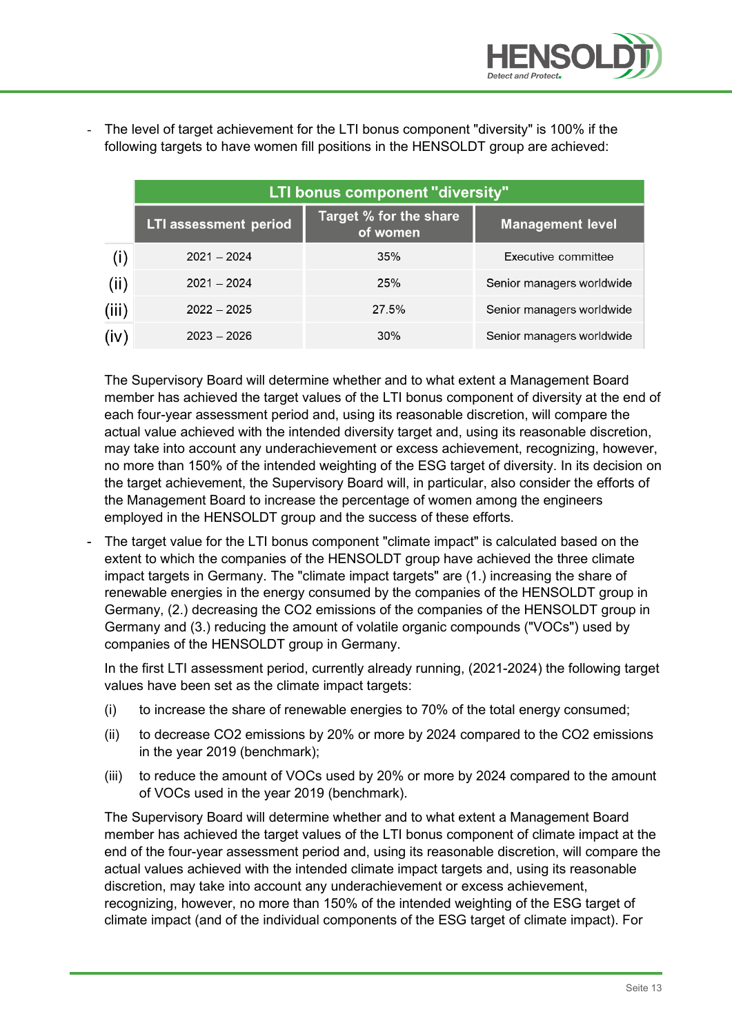

- The level of target achievement for the LTI bonus component "diversity" is 100% if the following targets to have women fill positions in the HENSOLDT group are achieved:

|       | LTI bonus component "diversity" |                                           |                           |  |  |
|-------|---------------------------------|-------------------------------------------|---------------------------|--|--|
|       | <b>LTI assessment period</b>    | <b>Target % for the share</b><br>of women | <b>Management level</b>   |  |  |
| (i)   | $2021 - 2024$                   | 35%                                       | Executive committee       |  |  |
| (ii)  | $2021 - 2024$                   | 25%                                       | Senior managers worldwide |  |  |
| (iii) | $2022 - 2025$                   | 27.5%                                     | Senior managers worldwide |  |  |
| (iv)  | $2023 - 2026$                   | 30%                                       | Senior managers worldwide |  |  |

The Supervisory Board will determine whether and to what extent a Management Board member has achieved the target values of the LTI bonus component of diversity at the end of each four-year assessment period and, using its reasonable discretion, will compare the actual value achieved with the intended diversity target and, using its reasonable discretion, may take into account any underachievement or excess achievement, recognizing, however, no more than 150% of the intended weighting of the ESG target of diversity. In its decision on the target achievement, the Supervisory Board will, in particular, also consider the efforts of the Management Board to increase the percentage of women among the engineers employed in the HENSOLDT group and the success of these efforts.

- The target value for the LTI bonus component "climate impact" is calculated based on the extent to which the companies of the HENSOLDT group have achieved the three climate impact targets in Germany. The "climate impact targets" are (1.) increasing the share of renewable energies in the energy consumed by the companies of the HENSOLDT group in Germany, (2.) decreasing the CO2 emissions of the companies of the HENSOLDT group in Germany and (3.) reducing the amount of volatile organic compounds ("VOCs") used by companies of the HENSOLDT group in Germany.

In the first LTI assessment period, currently already running, (2021-2024) the following target values have been set as the climate impact targets:

- (i) to increase the share of renewable energies to 70% of the total energy consumed;
- (ii) to decrease CO2 emissions by 20% or more by 2024 compared to the CO2 emissions in the year 2019 (benchmark);
- (iii) to reduce the amount of VOCs used by 20% or more by 2024 compared to the amount of VOCs used in the year 2019 (benchmark).

The Supervisory Board will determine whether and to what extent a Management Board member has achieved the target values of the LTI bonus component of climate impact at the end of the four-year assessment period and, using its reasonable discretion, will compare the actual values achieved with the intended climate impact targets and, using its reasonable discretion, may take into account any underachievement or excess achievement, recognizing, however, no more than 150% of the intended weighting of the ESG target of climate impact (and of the individual components of the ESG target of climate impact). For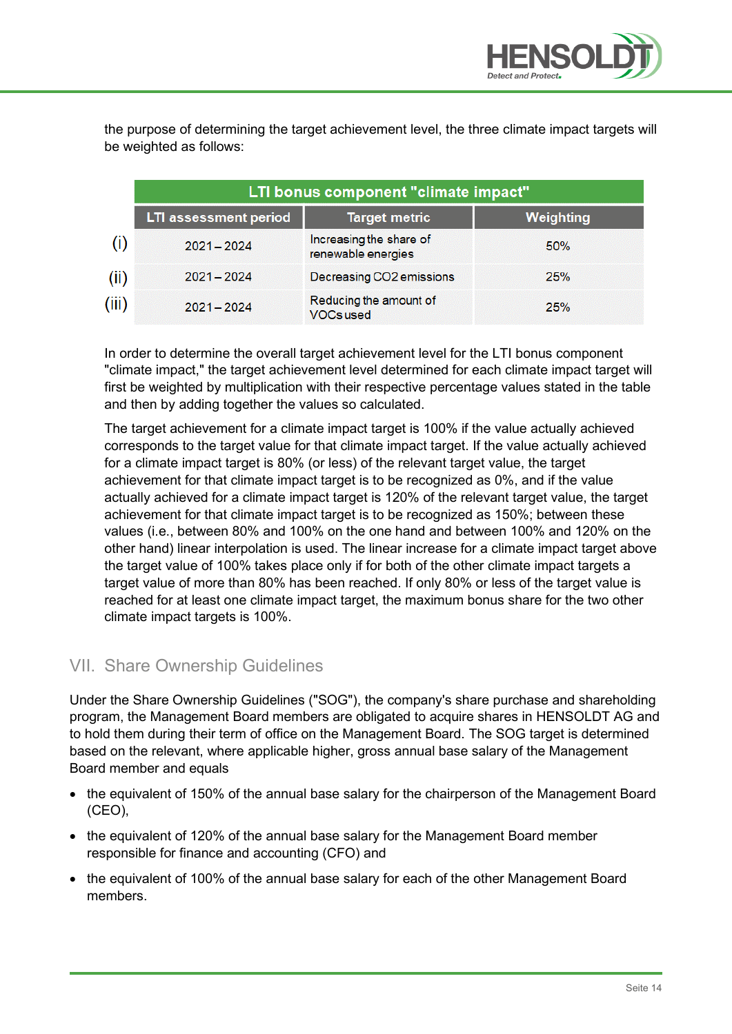

the purpose of determining the target achievement level, the three climate impact targets will be weighted as follows:

|       | LTI bonus component "climate impact" |                                               |                  |  |  |  |
|-------|--------------------------------------|-----------------------------------------------|------------------|--|--|--|
|       | <b>LTI assessment period</b>         | <b>Target metric</b>                          | <b>Weighting</b> |  |  |  |
|       | $2021 - 2024$                        | Increasing the share of<br>renewable energies | 50%              |  |  |  |
| (ii)  | $2021 - 2024$                        | Decreasing CO2 emissions                      | 25%              |  |  |  |
| (iii) | $2021 - 2024$                        | Reducing the amount of<br><b>VOCs used</b>    | 25%              |  |  |  |

In order to determine the overall target achievement level for the LTI bonus component "climate impact," the target achievement level determined for each climate impact target will first be weighted by multiplication with their respective percentage values stated in the table and then by adding together the values so calculated.

The target achievement for a climate impact target is 100% if the value actually achieved corresponds to the target value for that climate impact target. If the value actually achieved for a climate impact target is 80% (or less) of the relevant target value, the target achievement for that climate impact target is to be recognized as 0%, and if the value actually achieved for a climate impact target is 120% of the relevant target value, the target achievement for that climate impact target is to be recognized as 150%; between these values (i.e., between 80% and 100% on the one hand and between 100% and 120% on the other hand) linear interpolation is used. The linear increase for a climate impact target above the target value of 100% takes place only if for both of the other climate impact targets a target value of more than 80% has been reached. If only 80% or less of the target value is reached for at least one climate impact target, the maximum bonus share for the two other climate impact targets is 100%.

#### VII. Share Ownership Guidelines

Under the Share Ownership Guidelines ("SOG"), the company's share purchase and shareholding program, the Management Board members are obligated to acquire shares in HENSOLDT AG and to hold them during their term of office on the Management Board. The SOG target is determined based on the relevant, where applicable higher, gross annual base salary of the Management Board member and equals

- the equivalent of 150% of the annual base salary for the chairperson of the Management Board (CEO),
- the equivalent of 120% of the annual base salary for the Management Board member responsible for finance and accounting (CFO) and
- the equivalent of 100% of the annual base salary for each of the other Management Board members.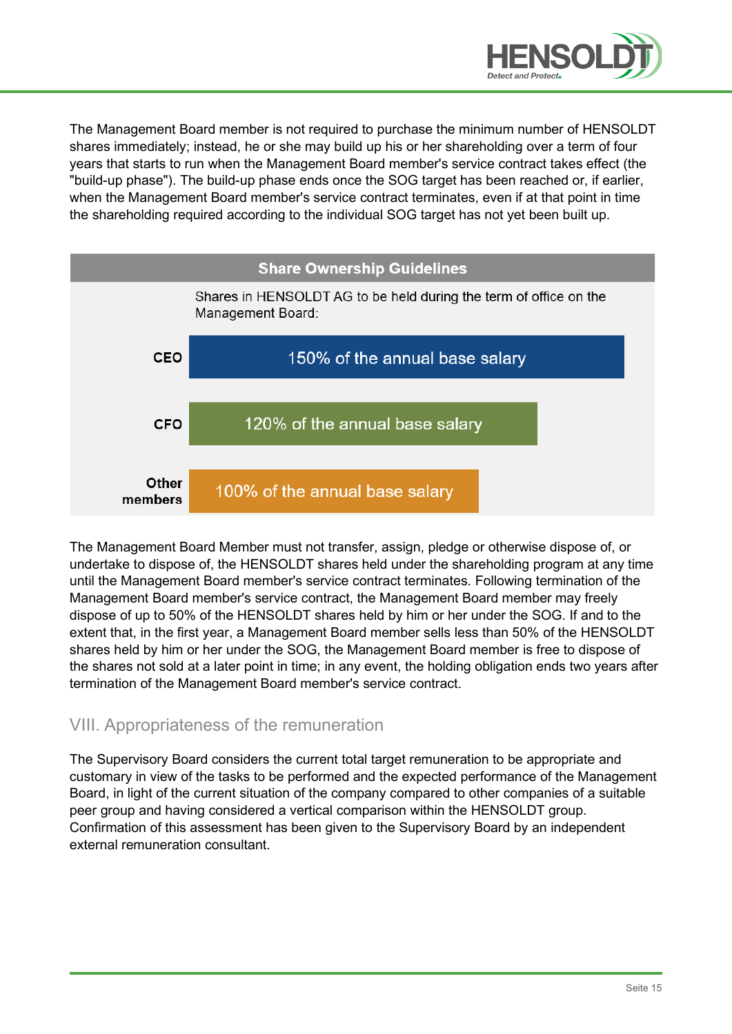

The Management Board member is not required to purchase the minimum number of HENSOLDT shares immediately; instead, he or she may build up his or her shareholding over a term of four years that starts to run when the Management Board member's service contract takes effect (the "build-up phase"). The build-up phase ends once the SOG target has been reached or, if earlier, when the Management Board member's service contract terminates, even if at that point in time the shareholding required according to the individual SOG target has not yet been built up.



The Management Board Member must not transfer, assign, pledge or otherwise dispose of, or undertake to dispose of, the HENSOLDT shares held under the shareholding program at any time until the Management Board member's service contract terminates. Following termination of the Management Board member's service contract, the Management Board member may freely dispose of up to 50% of the HENSOLDT shares held by him or her under the SOG. If and to the extent that, in the first year, a Management Board member sells less than 50% of the HENSOLDT shares held by him or her under the SOG, the Management Board member is free to dispose of the shares not sold at a later point in time; in any event, the holding obligation ends two years after termination of the Management Board member's service contract.

#### VIII. Appropriateness of the remuneration

The Supervisory Board considers the current total target remuneration to be appropriate and customary in view of the tasks to be performed and the expected performance of the Management Board, in light of the current situation of the company compared to other companies of a suitable peer group and having considered a vertical comparison within the HENSOLDT group. Confirmation of this assessment has been given to the Supervisory Board by an independent external remuneration consultant.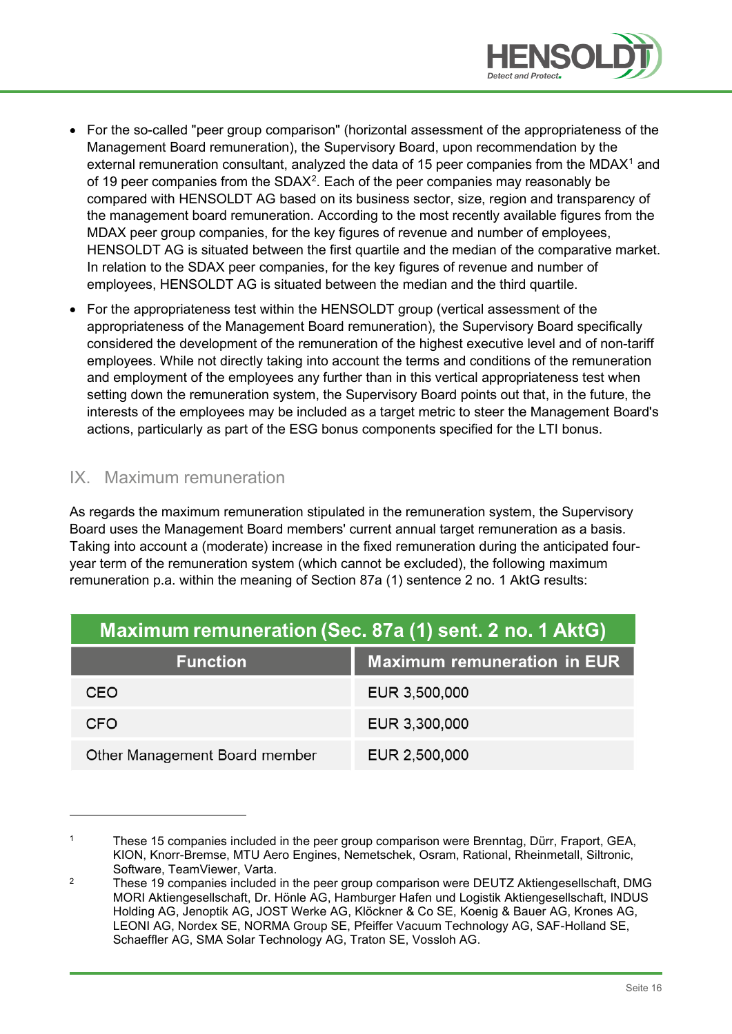

- For the so-called "peer group comparison" (horizontal assessment of the appropriateness of the Management Board remuneration), the Supervisory Board, upon recommendation by the external remuneration consultant, analyzed the data of [1](#page-15-0)5 peer companies from the MDAX<sup>1</sup> and of 19 peer companies from the SDAX<sup>[2](#page-15-1)</sup>. Each of the peer companies may reasonably be compared with HENSOLDT AG based on its business sector, size, region and transparency of the management board remuneration. According to the most recently available figures from the MDAX peer group companies, for the key figures of revenue and number of employees, HENSOLDT AG is situated between the first quartile and the median of the comparative market. In relation to the SDAX peer companies, for the key figures of revenue and number of employees, HENSOLDT AG is situated between the median and the third quartile.
- For the appropriateness test within the HENSOLDT group (vertical assessment of the appropriateness of the Management Board remuneration), the Supervisory Board specifically considered the development of the remuneration of the highest executive level and of non-tariff employees. While not directly taking into account the terms and conditions of the remuneration and employment of the employees any further than in this vertical appropriateness test when setting down the remuneration system, the Supervisory Board points out that, in the future, the interests of the employees may be included as a target metric to steer the Management Board's actions, particularly as part of the ESG bonus components specified for the LTI bonus.

## IX. Maximum remuneration

As regards the maximum remuneration stipulated in the remuneration system, the Supervisory Board uses the Management Board members' current annual target remuneration as a basis. Taking into account a (moderate) increase in the fixed remuneration during the anticipated fouryear term of the remuneration system (which cannot be excluded), the following maximum remuneration p.a. within the meaning of Section 87a (1) sentence 2 no. 1 AktG results:

| Maximum remuneration (Sec. 87a (1) sent. 2 no. 1 AktG) |                                    |  |  |  |
|--------------------------------------------------------|------------------------------------|--|--|--|
| <b>Function</b>                                        | <b>Maximum remuneration in EUR</b> |  |  |  |
| CEO                                                    | EUR 3,500,000                      |  |  |  |
| <b>CFO</b>                                             | EUR 3,300,000                      |  |  |  |
| Other Management Board member                          | EUR 2,500,000                      |  |  |  |

<span id="page-15-0"></span><sup>1</sup> These 15 companies included in the peer group comparison were Brenntag, Dürr, Fraport, GEA, KION, Knorr-Bremse, MTU Aero Engines, Nemetschek, Osram, Rational, Rheinmetall, Siltronic, Software, TeamViewer, Varta.

<span id="page-15-1"></span><sup>&</sup>lt;sup>2</sup> These 19 companies included in the peer group comparison were DEUTZ Aktiengesellschaft, DMG MORI Aktiengesellschaft, Dr. Hönle AG, Hamburger Hafen und Logistik Aktiengesellschaft, INDUS Holding AG, Jenoptik AG, JOST Werke AG, Klöckner & Co SE, Koenig & Bauer AG, Krones AG, LEONI AG, Nordex SE, NORMA Group SE, Pfeiffer Vacuum Technology AG, SAF-Holland SE, Schaeffler AG, SMA Solar Technology AG, Traton SE, Vossloh AG.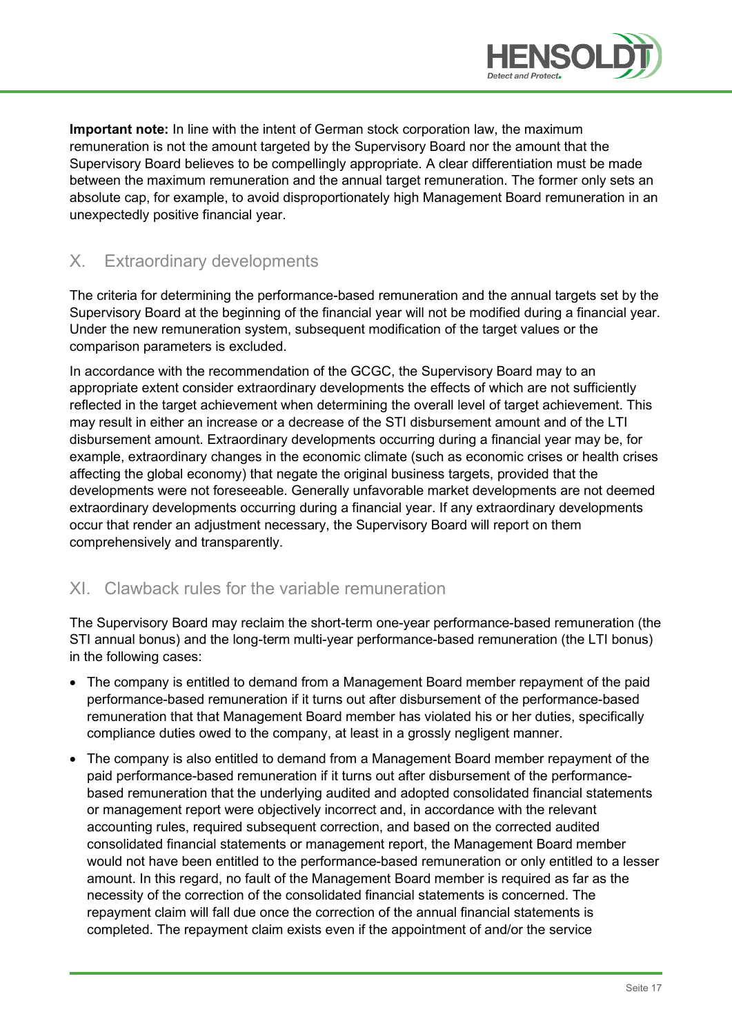

**Important note:** In line with the intent of German stock corporation law, the maximum remuneration is not the amount targeted by the Supervisory Board nor the amount that the Supervisory Board believes to be compellingly appropriate. A clear differentiation must be made between the maximum remuneration and the annual target remuneration. The former only sets an absolute cap, for example, to avoid disproportionately high Management Board remuneration in an unexpectedly positive financial year.

### X. Extraordinary developments

The criteria for determining the performance-based remuneration and the annual targets set by the Supervisory Board at the beginning of the financial year will not be modified during a financial year. Under the new remuneration system, subsequent modification of the target values or the comparison parameters is excluded.

In accordance with the recommendation of the GCGC, the Supervisory Board may to an appropriate extent consider extraordinary developments the effects of which are not sufficiently reflected in the target achievement when determining the overall level of target achievement. This may result in either an increase or a decrease of the STI disbursement amount and of the LTI disbursement amount. Extraordinary developments occurring during a financial year may be, for example, extraordinary changes in the economic climate (such as economic crises or health crises affecting the global economy) that negate the original business targets, provided that the developments were not foreseeable. Generally unfavorable market developments are not deemed extraordinary developments occurring during a financial year. If any extraordinary developments occur that render an adjustment necessary, the Supervisory Board will report on them comprehensively and transparently.

#### XI. Clawback rules for the variable remuneration

The Supervisory Board may reclaim the short-term one-year performance-based remuneration (the STI annual bonus) and the long-term multi-year performance-based remuneration (the LTI bonus) in the following cases:

- The company is entitled to demand from a Management Board member repayment of the paid performance-based remuneration if it turns out after disbursement of the performance-based remuneration that that Management Board member has violated his or her duties, specifically compliance duties owed to the company, at least in a grossly negligent manner.
- The company is also entitled to demand from a Management Board member repayment of the paid performance-based remuneration if it turns out after disbursement of the performancebased remuneration that the underlying audited and adopted consolidated financial statements or management report were objectively incorrect and, in accordance with the relevant accounting rules, required subsequent correction, and based on the corrected audited consolidated financial statements or management report, the Management Board member would not have been entitled to the performance-based remuneration or only entitled to a lesser amount. In this regard, no fault of the Management Board member is required as far as the necessity of the correction of the consolidated financial statements is concerned. The repayment claim will fall due once the correction of the annual financial statements is completed. The repayment claim exists even if the appointment of and/or the service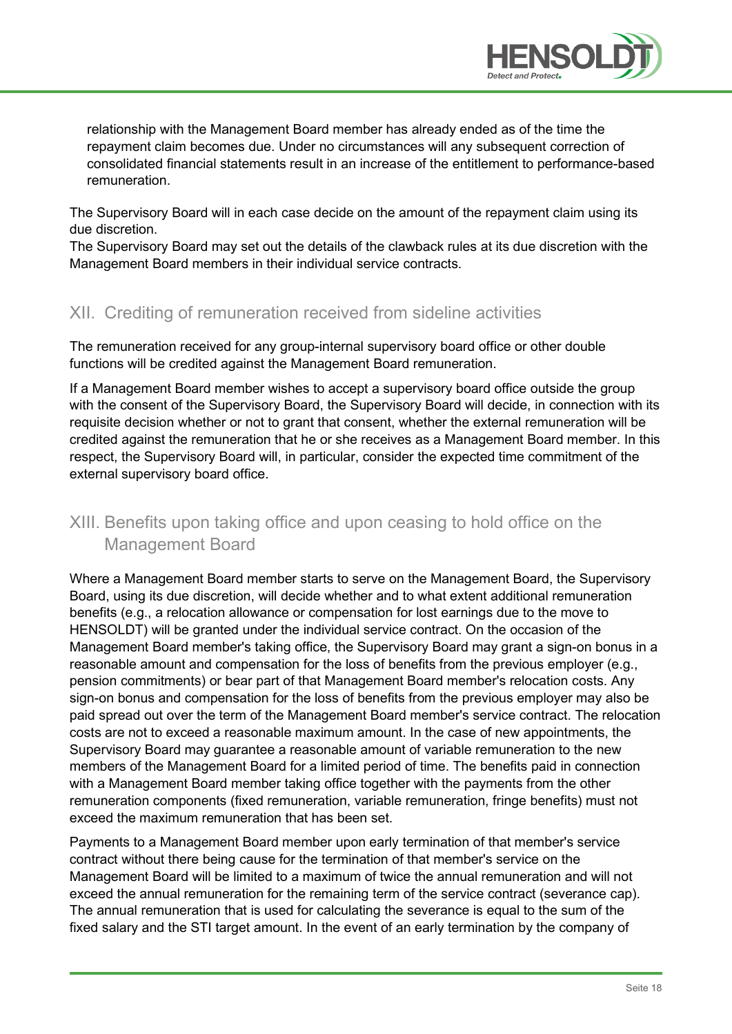

relationship with the Management Board member has already ended as of the time the repayment claim becomes due. Under no circumstances will any subsequent correction of consolidated financial statements result in an increase of the entitlement to performance-based remuneration.

The Supervisory Board will in each case decide on the amount of the repayment claim using its due discretion.

The Supervisory Board may set out the details of the clawback rules at its due discretion with the Management Board members in their individual service contracts.

### XII. Crediting of remuneration received from sideline activities

The remuneration received for any group-internal supervisory board office or other double functions will be credited against the Management Board remuneration.

If a Management Board member wishes to accept a supervisory board office outside the group with the consent of the Supervisory Board, the Supervisory Board will decide, in connection with its requisite decision whether or not to grant that consent, whether the external remuneration will be credited against the remuneration that he or she receives as a Management Board member. In this respect, the Supervisory Board will, in particular, consider the expected time commitment of the external supervisory board office.

# XIII. Benefits upon taking office and upon ceasing to hold office on the Management Board

Where a Management Board member starts to serve on the Management Board, the Supervisory Board, using its due discretion, will decide whether and to what extent additional remuneration benefits (e.g., a relocation allowance or compensation for lost earnings due to the move to HENSOLDT) will be granted under the individual service contract. On the occasion of the Management Board member's taking office, the Supervisory Board may grant a sign-on bonus in a reasonable amount and compensation for the loss of benefits from the previous employer (e.g., pension commitments) or bear part of that Management Board member's relocation costs. Any sign-on bonus and compensation for the loss of benefits from the previous employer may also be paid spread out over the term of the Management Board member's service contract. The relocation costs are not to exceed a reasonable maximum amount. In the case of new appointments, the Supervisory Board may guarantee a reasonable amount of variable remuneration to the new members of the Management Board for a limited period of time. The benefits paid in connection with a Management Board member taking office together with the payments from the other remuneration components (fixed remuneration, variable remuneration, fringe benefits) must not exceed the maximum remuneration that has been set.

Payments to a Management Board member upon early termination of that member's service contract without there being cause for the termination of that member's service on the Management Board will be limited to a maximum of twice the annual remuneration and will not exceed the annual remuneration for the remaining term of the service contract (severance cap). The annual remuneration that is used for calculating the severance is equal to the sum of the fixed salary and the STI target amount. In the event of an early termination by the company of